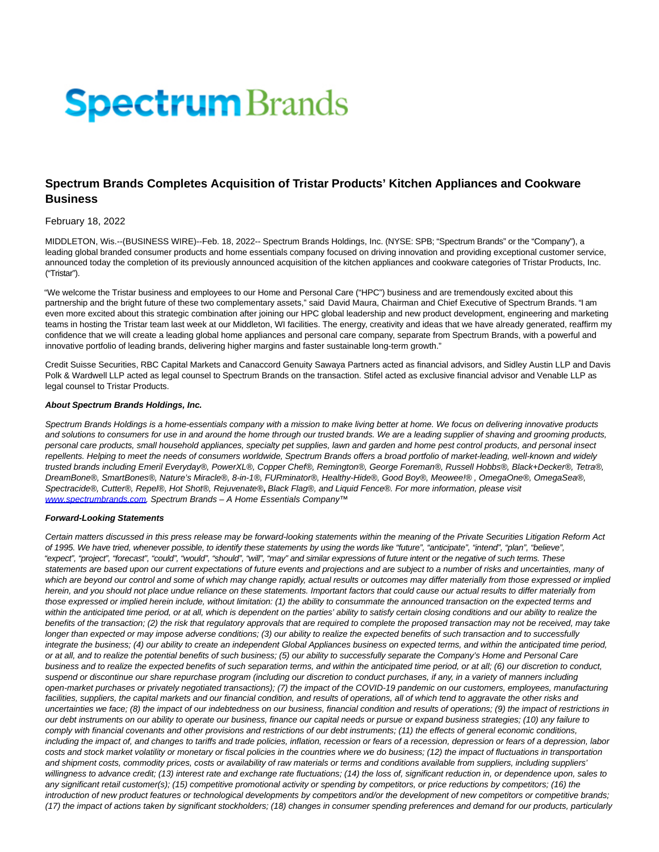# **Spectrum** Brands

# **Spectrum Brands Completes Acquisition of Tristar Products' Kitchen Appliances and Cookware Business**

## February 18, 2022

MIDDLETON, Wis.--(BUSINESS WIRE)--Feb. 18, 2022-- Spectrum Brands Holdings, Inc. (NYSE: SPB; "Spectrum Brands" or the "Company"), a leading global branded consumer products and home essentials company focused on driving innovation and providing exceptional customer service, announced today the completion of its previously announced acquisition of the kitchen appliances and cookware categories of Tristar Products, Inc. ("Tristar").

"We welcome the Tristar business and employees to our Home and Personal Care ("HPC") business and are tremendously excited about this partnership and the bright future of these two complementary assets," said David Maura, Chairman and Chief Executive of Spectrum Brands. "I am even more excited about this strategic combination after joining our HPC global leadership and new product development, engineering and marketing teams in hosting the Tristar team last week at our Middleton, WI facilities. The energy, creativity and ideas that we have already generated, reaffirm my confidence that we will create a leading global home appliances and personal care company, separate from Spectrum Brands, with a powerful and innovative portfolio of leading brands, delivering higher margins and faster sustainable long-term growth."

Credit Suisse Securities, RBC Capital Markets and Canaccord Genuity Sawaya Partners acted as financial advisors, and Sidley Austin LLP and Davis Polk & Wardwell LLP acted as legal counsel to Spectrum Brands on the transaction. Stifel acted as exclusive financial advisor and Venable LLP as legal counsel to Tristar Products.

#### **About Spectrum Brands Holdings, Inc.**

Spectrum Brands Holdings is a home-essentials company with a mission to make living better at home. We focus on delivering innovative products and solutions to consumers for use in and around the home through our trusted brands. We are a leading supplier of shaving and grooming products, personal care products, small household appliances, specialty pet supplies, lawn and garden and home pest control products, and personal insect repellents. Helping to meet the needs of consumers worldwide, Spectrum Brands offers a broad portfolio of market-leading, well-known and widely trusted brands including Emeril Everyday®, PowerXL®, Copper Chef®, Remington®, George Foreman®, Russell Hobbs®, Black+Decker®, Tetra®, DreamBone®, SmartBones®, Nature's Miracle®, 8-in-1®, FURminator®, Healthy-Hide®, Good Boy®, Meowee!® , OmegaOne®, OmegaSea®, Spectracide®, Cutter®, Repel®, Hot Shot®, Rejuvenate®**,** Black Flag®, and Liquid Fence®. For more information, please visit [www.spectrumbrands.com.](https://cts.businesswire.com/ct/CT?id=smartlink&url=http%3A%2F%2Fwww.spectrumbrands.com&esheet=52582051&newsitemid=20220218005332&lan=en-US&anchor=www.spectrumbrands.com&index=1&md5=038cfa22c5dff67da1b0afee223061cb) Spectrum Brands – A Home Essentials Company<sup>™</sup>

### **Forward-Looking Statements**

Certain matters discussed in this press release may be forward-looking statements within the meaning of the Private Securities Litigation Reform Act of 1995. We have tried, whenever possible, to identify these statements by using the words like "future", "anticipate", "intend", "plan", "believe", "expect", "project", "forecast", "could", "would", "should", "will", "may" and similar expressions of future intent or the negative of such terms. These statements are based upon our current expectations of future events and projections and are subject to a number of risks and uncertainties, many of which are beyond our control and some of which may change rapidly, actual results or outcomes may differ materially from those expressed or implied herein, and you should not place undue reliance on these statements. Important factors that could cause our actual results to differ materially from those expressed or implied herein include, without limitation: (1) the ability to consummate the announced transaction on the expected terms and within the anticipated time period, or at all, which is dependent on the parties' ability to satisfy certain closing conditions and our ability to realize the benefits of the transaction; (2) the risk that regulatory approvals that are required to complete the proposed transaction may not be received, may take longer than expected or may impose adverse conditions; (3) our ability to realize the expected benefits of such transaction and to successfully integrate the business; (4) our ability to create an independent Global Appliances business on expected terms, and within the anticipated time period, or at all, and to realize the potential benefits of such business; (5) our ability to successfully separate the Company's Home and Personal Care business and to realize the expected benefits of such separation terms, and within the anticipated time period, or at all; (6) our discretion to conduct, suspend or discontinue our share repurchase program (including our discretion to conduct purchases, if any, in a variety of manners including open-market purchases or privately negotiated transactions); (7) the impact of the COVID-19 pandemic on our customers, employees, manufacturing facilities, suppliers, the capital markets and our financial condition, and results of operations, all of which tend to aggravate the other risks and uncertainties we face; (8) the impact of our indebtedness on our business, financial condition and results of operations; (9) the impact of restrictions in our debt instruments on our ability to operate our business, finance our capital needs or pursue or expand business strategies; (10) any failure to comply with financial covenants and other provisions and restrictions of our debt instruments; (11) the effects of general economic conditions, including the impact of, and changes to tariffs and trade policies, inflation, recession or fears of a depression or fears of a depression, labor costs and stock market volatility or monetary or fiscal policies in the countries where we do business; (12) the impact of fluctuations in transportation and shipment costs, commodity prices, costs or availability of raw materials or terms and conditions available from suppliers, including suppliers' willingness to advance credit; (13) interest rate and exchange rate fluctuations; (14) the loss of, significant reduction in, or dependence upon, sales to any significant retail customer(s); (15) competitive promotional activity or spending by competitors, or price reductions by competitors; (16) the introduction of new product features or technological developments by competitors and/or the development of new competitors or competitive brands; (17) the impact of actions taken by significant stockholders; (18) changes in consumer spending preferences and demand for our products, particularly